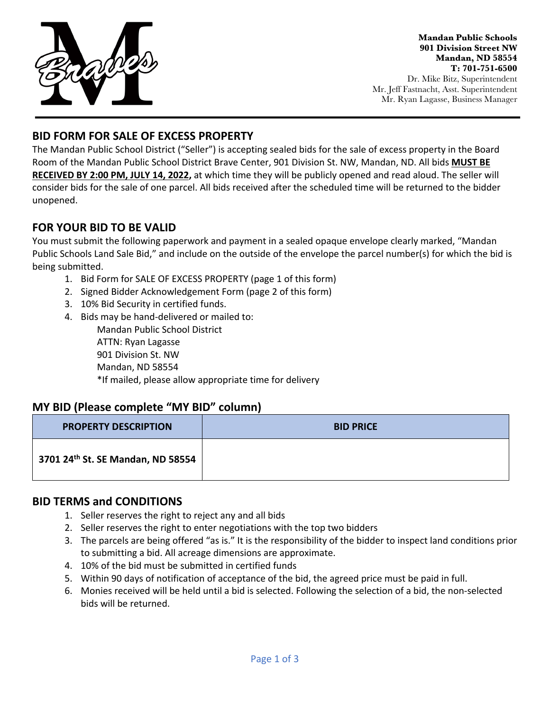

**Mandan Public Schools 901 Division Street NW Mandan, ND 58554 T: 701-751-6500** Dr. Mike Bitz, Superintendent Mr. Jeff Fastnacht, Asst. Superintendent Mr. Ryan Lagasse, Business Manager

## **BID FORM FOR SALE OF EXCESS PROPERTY**

The Mandan Public School District ("Seller") is accepting sealed bids for the sale of excess property in the Board Room of the Mandan Public School District Brave Center, 901 Division St. NW, Mandan, ND. All bids **MUST BE RECEIVED BY 2:00 PM, JULY 14, 2022,** at which time they will be publicly opened and read aloud. The seller will consider bids for the sale of one parcel. All bids received after the scheduled time will be returned to the bidder unopened.

## **FOR YOUR BID TO BE VALID**

You must submit the following paperwork and payment in a sealed opaque envelope clearly marked, "Mandan Public Schools Land Sale Bid," and include on the outside of the envelope the parcel number(s) for which the bid is being submitted.

- 1. Bid Form for SALE OF EXCESS PROPERTY (page 1 of this form)
- 2. Signed Bidder Acknowledgement Form (page 2 of this form)
- 3. 10% Bid Security in certified funds.
- 4. Bids may be hand-delivered or mailed to: Mandan Public School District ATTN: Ryan Lagasse 901 Division St. NW Mandan, ND 58554 \*If mailed, please allow appropriate time for delivery

## **MY BID (Please complete "MY BID" column)**

| <b>PROPERTY DESCRIPTION</b>                   | <b>BID PRICE</b> |
|-----------------------------------------------|------------------|
| 3701 24 <sup>th</sup> St. SE Mandan, ND 58554 |                  |

#### **BID TERMS and CONDITIONS**

- 1. Seller reserves the right to reject any and all bids
- 2. Seller reserves the right to enter negotiations with the top two bidders
- 3. The parcels are being offered "as is." It is the responsibility of the bidder to inspect land conditions prior to submitting a bid. All acreage dimensions are approximate.
- 4. 10% of the bid must be submitted in certified funds
- 5. Within 90 days of notification of acceptance of the bid, the agreed price must be paid in full.
- 6. Monies received will be held until a bid is selected. Following the selection of a bid, the non-selected bids will be returned.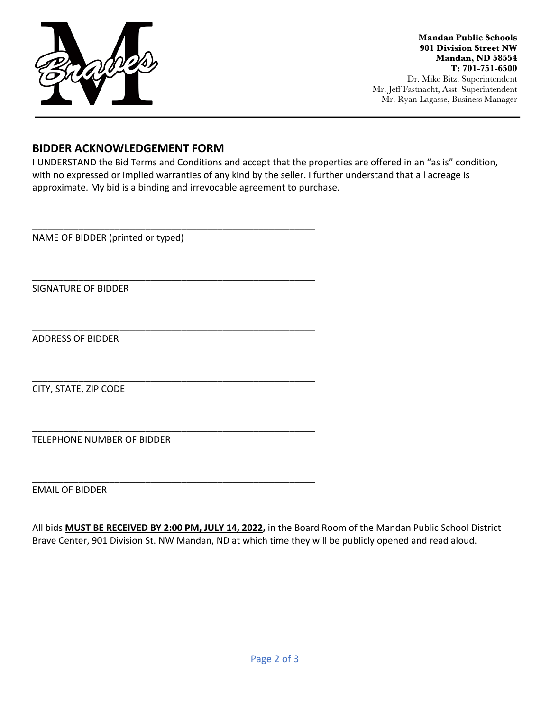

**Mandan Public Schools 901 Division Street NW Mandan, ND 58554 T: 701-751-6500** Dr. Mike Bitz, Superintendent Mr. Jeff Fastnacht, Asst. Superintendent Mr. Ryan Lagasse, Business Manager

#### **BIDDER ACKNOWLEDGEMENT FORM**

\_\_\_\_\_\_\_\_\_\_\_\_\_\_\_\_\_\_\_\_\_\_\_\_\_\_\_\_\_\_\_\_\_\_\_\_\_\_\_\_\_\_\_\_\_\_\_\_\_\_\_\_\_\_\_

\_\_\_\_\_\_\_\_\_\_\_\_\_\_\_\_\_\_\_\_\_\_\_\_\_\_\_\_\_\_\_\_\_\_\_\_\_\_\_\_\_\_\_\_\_\_\_\_\_\_\_\_\_\_\_

\_\_\_\_\_\_\_\_\_\_\_\_\_\_\_\_\_\_\_\_\_\_\_\_\_\_\_\_\_\_\_\_\_\_\_\_\_\_\_\_\_\_\_\_\_\_\_\_\_\_\_\_\_\_\_

\_\_\_\_\_\_\_\_\_\_\_\_\_\_\_\_\_\_\_\_\_\_\_\_\_\_\_\_\_\_\_\_\_\_\_\_\_\_\_\_\_\_\_\_\_\_\_\_\_\_\_\_\_\_\_

\_\_\_\_\_\_\_\_\_\_\_\_\_\_\_\_\_\_\_\_\_\_\_\_\_\_\_\_\_\_\_\_\_\_\_\_\_\_\_\_\_\_\_\_\_\_\_\_\_\_\_\_\_\_\_

\_\_\_\_\_\_\_\_\_\_\_\_\_\_\_\_\_\_\_\_\_\_\_\_\_\_\_\_\_\_\_\_\_\_\_\_\_\_\_\_\_\_\_\_\_\_\_\_\_\_\_\_\_\_\_

I UNDERSTAND the Bid Terms and Conditions and accept that the properties are offered in an "as is" condition, with no expressed or implied warranties of any kind by the seller. I further understand that all acreage is approximate. My bid is a binding and irrevocable agreement to purchase.

NAME OF BIDDER (printed or typed)

SIGNATURE OF BIDDER

ADDRESS OF BIDDER

CITY, STATE, ZIP CODE

TELEPHONE NUMBER OF BIDDER

EMAIL OF BIDDER

All bids **MUST BE RECEIVED BY 2:00 PM, JULY 14, 2022,** in the Board Room of the Mandan Public School District Brave Center, 901 Division St. NW Mandan, ND at which time they will be publicly opened and read aloud.